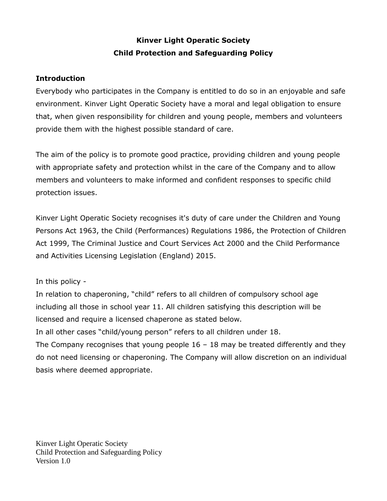# **Kinver Light Operatic Society Child Protection and Safeguarding Policy**

### **Introduction**

Everybody who participates in the Company is entitled to do so in an enjoyable and safe environment. Kinver Light Operatic Society have a moral and legal obligation to ensure that, when given responsibility for children and young people, members and volunteers provide them with the highest possible standard of care.

The aim of the policy is to promote good practice, providing children and young people with appropriate safety and protection whilst in the care of the Company and to allow members and volunteers to make informed and confident responses to specific child protection issues.

Kinver Light Operatic Society recognises it's duty of care under the Children and Young Persons Act 1963, the Child (Performances) Regulations 1986, the Protection of Children Act 1999, The Criminal Justice and Court Services Act 2000 and the Child Performance and Activities Licensing Legislation (England) 2015.

# In this policy -

In relation to chaperoning, "child" refers to all children of compulsory school age including all those in school year 11. All children satisfying this description will be licensed and require a licensed chaperone as stated below.

In all other cases "child/young person" refers to all children under 18. The Company recognises that young people  $16 - 18$  may be treated differently and they do not need licensing or chaperoning. The Company will allow discretion on an individual basis where deemed appropriate.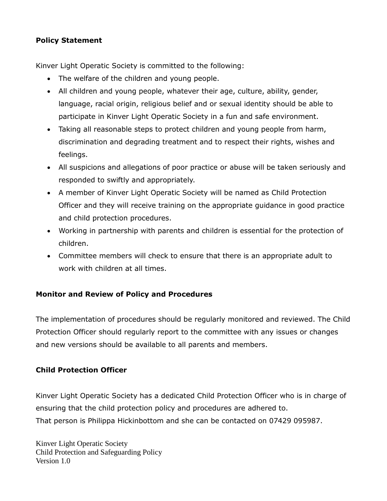# **Policy Statement**

Kinver Light Operatic Society is committed to the following:

- The welfare of the children and young people.
- All children and young people, whatever their age, culture, ability, gender, language, racial origin, religious belief and or sexual identity should be able to participate in Kinver Light Operatic Society in a fun and safe environment.
- Taking all reasonable steps to protect children and young people from harm, discrimination and degrading treatment and to respect their rights, wishes and feelings.
- All suspicions and allegations of poor practice or abuse will be taken seriously and responded to swiftly and appropriately.
- A member of Kinver Light Operatic Society will be named as Child Protection Officer and they will receive training on the appropriate guidance in good practice and child protection procedures.
- Working in partnership with parents and children is essential for the protection of children.
- Committee members will check to ensure that there is an appropriate adult to work with children at all times.

# **Monitor and Review of Policy and Procedures**

The implementation of procedures should be regularly monitored and reviewed. The Child Protection Officer should regularly report to the committee with any issues or changes and new versions should be available to all parents and members.

# **Child Protection Officer**

Kinver Light Operatic Society has a dedicated Child Protection Officer who is in charge of ensuring that the child protection policy and procedures are adhered to. That person is Philippa Hickinbottom and she can be contacted on 07429 095987.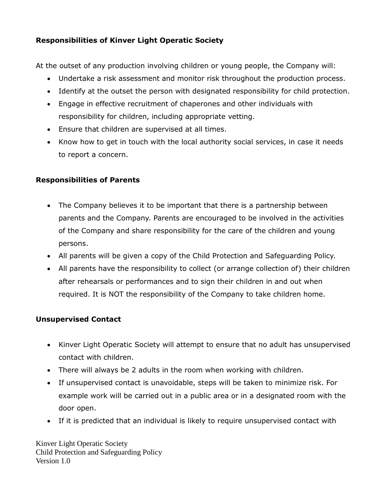# **Responsibilities of Kinver Light Operatic Society**

At the outset of any production involving children or young people, the Company will:

- Undertake a risk assessment and monitor risk throughout the production process.
- Identify at the outset the person with designated responsibility for child protection.
- Engage in effective recruitment of chaperones and other individuals with responsibility for children, including appropriate vetting.
- Ensure that children are supervised at all times.
- Know how to get in touch with the local authority social services, in case it needs to report a concern.

# **Responsibilities of Parents**

- The Company believes it to be important that there is a partnership between parents and the Company. Parents are encouraged to be involved in the activities of the Company and share responsibility for the care of the children and young persons.
- All parents will be given a copy of the Child Protection and Safeguarding Policy.
- All parents have the responsibility to collect (or arrange collection of) their children after rehearsals or performances and to sign their children in and out when required. It is NOT the responsibility of the Company to take children home.

# **Unsupervised Contact**

- Kinver Light Operatic Society will attempt to ensure that no adult has unsupervised contact with children.
- There will always be 2 adults in the room when working with children.
- If unsupervised contact is unavoidable, steps will be taken to minimize risk. For example work will be carried out in a public area or in a designated room with the door open.
- If it is predicted that an individual is likely to require unsupervised contact with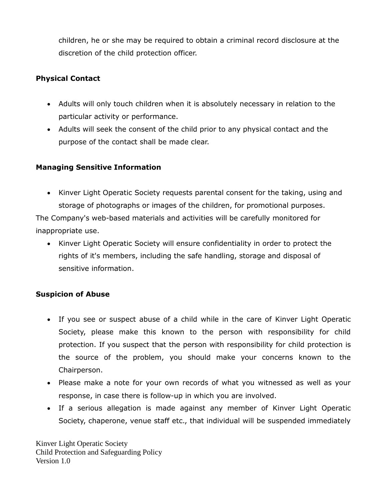children, he or she may be required to obtain a criminal record disclosure at the discretion of the child protection officer.

# **Physical Contact**

- Adults will only touch children when it is absolutely necessary in relation to the particular activity or performance.
- Adults will seek the consent of the child prior to any physical contact and the purpose of the contact shall be made clear.

# **Managing Sensitive Information**

• Kinver Light Operatic Society requests parental consent for the taking, using and storage of photographs or images of the children, for promotional purposes.

The Company's web-based materials and activities will be carefully monitored for inappropriate use.

• Kinver Light Operatic Society will ensure confidentiality in order to protect the rights of it's members, including the safe handling, storage and disposal of sensitive information.

# **Suspicion of Abuse**

- If you see or suspect abuse of a child while in the care of Kinver Light Operatic Society, please make this known to the person with responsibility for child protection. If you suspect that the person with responsibility for child protection is the source of the problem, you should make your concerns known to the Chairperson.
- Please make a note for your own records of what you witnessed as well as your response, in case there is follow-up in which you are involved.
- If a serious allegation is made against any member of Kinver Light Operatic Society, chaperone, venue staff etc., that individual will be suspended immediately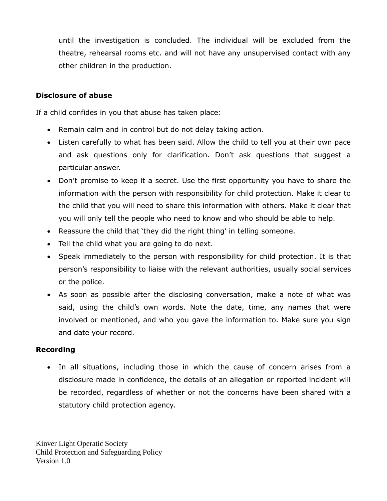until the investigation is concluded. The individual will be excluded from the theatre, rehearsal rooms etc. and will not have any unsupervised contact with any other children in the production.

#### **Disclosure of abuse**

If a child confides in you that abuse has taken place:

- Remain calm and in control but do not delay taking action.
- Listen carefully to what has been said. Allow the child to tell you at their own pace and ask questions only for clarification. Don't ask questions that suggest a particular answer.
- Don't promise to keep it a secret. Use the first opportunity you have to share the information with the person with responsibility for child protection. Make it clear to the child that you will need to share this information with others. Make it clear that you will only tell the people who need to know and who should be able to help.
- Reassure the child that 'they did the right thing' in telling someone.
- Tell the child what you are going to do next.
- Speak immediately to the person with responsibility for child protection. It is that person's responsibility to liaise with the relevant authorities, usually social services or the police.
- As soon as possible after the disclosing conversation, make a note of what was said, using the child's own words. Note the date, time, any names that were involved or mentioned, and who you gave the information to. Make sure you sign and date your record.

#### **Recording**

• In all situations, including those in which the cause of concern arises from a disclosure made in confidence, the details of an allegation or reported incident will be recorded, regardless of whether or not the concerns have been shared with a statutory child protection agency.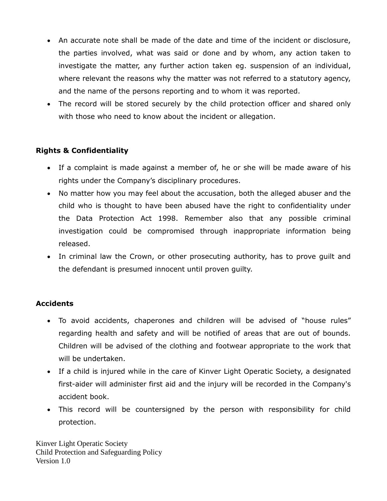- An accurate note shall be made of the date and time of the incident or disclosure, the parties involved, what was said or done and by whom, any action taken to investigate the matter, any further action taken eg. suspension of an individual, where relevant the reasons why the matter was not referred to a statutory agency, and the name of the persons reporting and to whom it was reported.
- The record will be stored securely by the child protection officer and shared only with those who need to know about the incident or allegation.

# **Rights & Confidentiality**

- If a complaint is made against a member of, he or she will be made aware of his rights under the Company's disciplinary procedures.
- No matter how you may feel about the accusation, both the alleged abuser and the child who is thought to have been abused have the right to confidentiality under the Data Protection Act 1998. Remember also that any possible criminal investigation could be compromised through inappropriate information being released.
- In criminal law the Crown, or other prosecuting authority, has to prove guilt and the defendant is presumed innocent until proven guilty.

#### **Accidents**

- To avoid accidents, chaperones and children will be advised of "house rules" regarding health and safety and will be notified of areas that are out of bounds. Children will be advised of the clothing and footwear appropriate to the work that will be undertaken.
- If a child is injured while in the care of Kinver Light Operatic Society, a designated first-aider will administer first aid and the injury will be recorded in the Company's accident book.
- This record will be countersigned by the person with responsibility for child protection.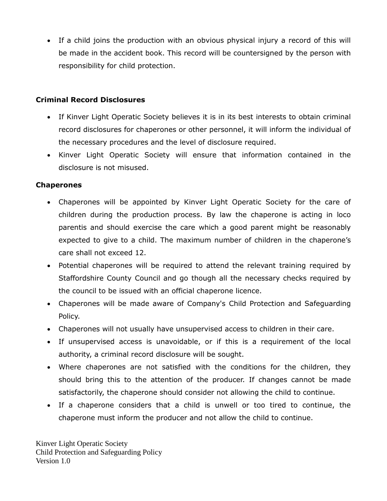• If a child joins the production with an obvious physical injury a record of this will be made in the accident book. This record will be countersigned by the person with responsibility for child protection.

### **Criminal Record Disclosures**

- If Kinver Light Operatic Society believes it is in its best interests to obtain criminal record disclosures for chaperones or other personnel, it will inform the individual of the necessary procedures and the level of disclosure required.
- Kinver Light Operatic Society will ensure that information contained in the disclosure is not misused.

### **Chaperones**

- Chaperones will be appointed by Kinver Light Operatic Society for the care of children during the production process. By law the chaperone is acting in loco parentis and should exercise the care which a good parent might be reasonably expected to give to a child. The maximum number of children in the chaperone's care shall not exceed 12.
- Potential chaperones will be required to attend the relevant training required by Staffordshire County Council and go though all the necessary checks required by the council to be issued with an official chaperone licence.
- Chaperones will be made aware of Company's Child Protection and Safeguarding Policy.
- Chaperones will not usually have unsupervised access to children in their care.
- If unsupervised access is unavoidable, or if this is a requirement of the local authority, a criminal record disclosure will be sought.
- Where chaperones are not satisfied with the conditions for the children, they should bring this to the attention of the producer. If changes cannot be made satisfactorily, the chaperone should consider not allowing the child to continue.
- If a chaperone considers that a child is unwell or too tired to continue, the chaperone must inform the producer and not allow the child to continue.